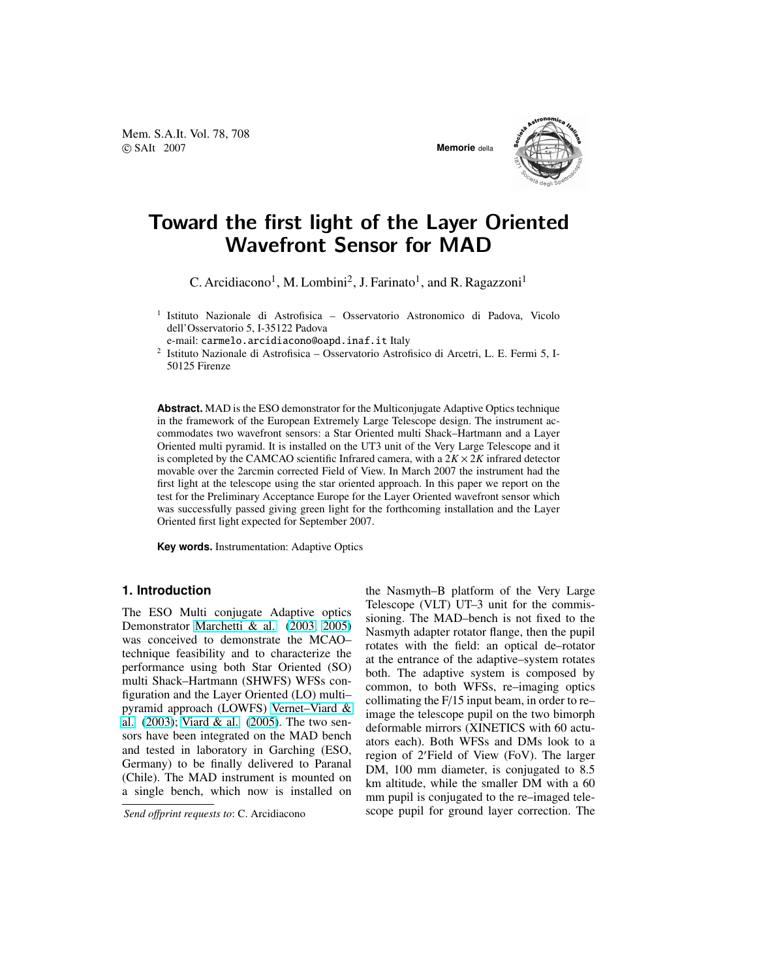Mem. S.A.It. Vol. 78, 708 c SAIt 2007 **Memorie** della



# Toward the first light of the Layer Oriented Wavefront Sensor for MAD

C. Arcidiacono<sup>1</sup>, M. Lombini<sup>2</sup>, J. Farinato<sup>1</sup>, and R. Ragazzoni<sup>1</sup>

<sup>1</sup> Istituto Nazionale di Astrofisica - Osservatorio Astronomico di Padova, Vicolo dell'Osservatorio 5, I-35122 Padova

e-mail: carmelo.arcidiacono@oapd.inaf.it Italy

2 Istituto Nazionale di Astrofisica – Osservatorio Astrofisico di Arcetri, L. E. Fermi 5, I-50125 Firenze

**Abstract.** MAD is the ESO demonstrator for the Multiconjugate Adaptive Optics technique in the framework of the European Extremely Large Telescope design. The instrument accommodates two wavefront sensors: a Star Oriented multi Shack–Hartmann and a Layer Oriented multi pyramid. It is installed on the UT3 unit of the Very Large Telescope and it is completed by the CAMCAO scientific Infrared camera, with a  $2K \times 2K$  infrared detector movable over the 2arcmin corrected Field of View. In March 2007 the instrument had the first light at the telescope using the star oriented approach. In this paper we report on the test for the Preliminary Acceptance Europe for the Layer Oriented wavefront sensor which was successfully passed giving green light for the forthcoming installation and the Layer Oriented first light expected for September 2007.

**Key words.** Instrumentation: Adaptive Optics

### **1. Introduction**

The ESO Multi conjugate Adaptive optics Demonstrator [Marchetti & al.](#page-3-0) [\(2003,](#page-3-0) [2005\)](#page-3-0) was conceived to demonstrate the MCAO– technique feasibility and to characterize the performance using both Star Oriented (SO) multi Shack–Hartmann (SHWFS) WFSs configuration and the Layer Oriented (LO) multi– pyramid approach (LOWFS) [Vernet–Viard &](#page-3-0) [al.](#page-3-0) [\(2003\)](#page-3-0); [Viard & al.](#page-3-0) [\(2005\)](#page-3-0). The two sensors have been integrated on the MAD bench and tested in laboratory in Garching (ESO, Germany) to be finally delivered to Paranal (Chile). The MAD instrument is mounted on a single bench, which now is installed on

*Send o*ff*print requests to*: C. Arcidiacono

the Nasmyth–B platform of the Very Large Telescope (VLT) UT–3 unit for the commissioning. The MAD–bench is not fixed to the Nasmyth adapter rotator flange, then the pupil rotates with the field: an optical de–rotator at the entrance of the adaptive–system rotates both. The adaptive system is composed by common, to both WFSs, re–imaging optics collimating the F/15 input beam, in order to re– image the telescope pupil on the two bimorph deformable mirrors (XINETICS with 60 actuators each). Both WFSs and DMs look to a region of 2'Field of View (FoV). The larger DM, 100 mm diameter, is conjugated to 8.5 km altitude, while the smaller DM with a 60 mm pupil is conjugated to the re–imaged telescope pupil for ground layer correction. The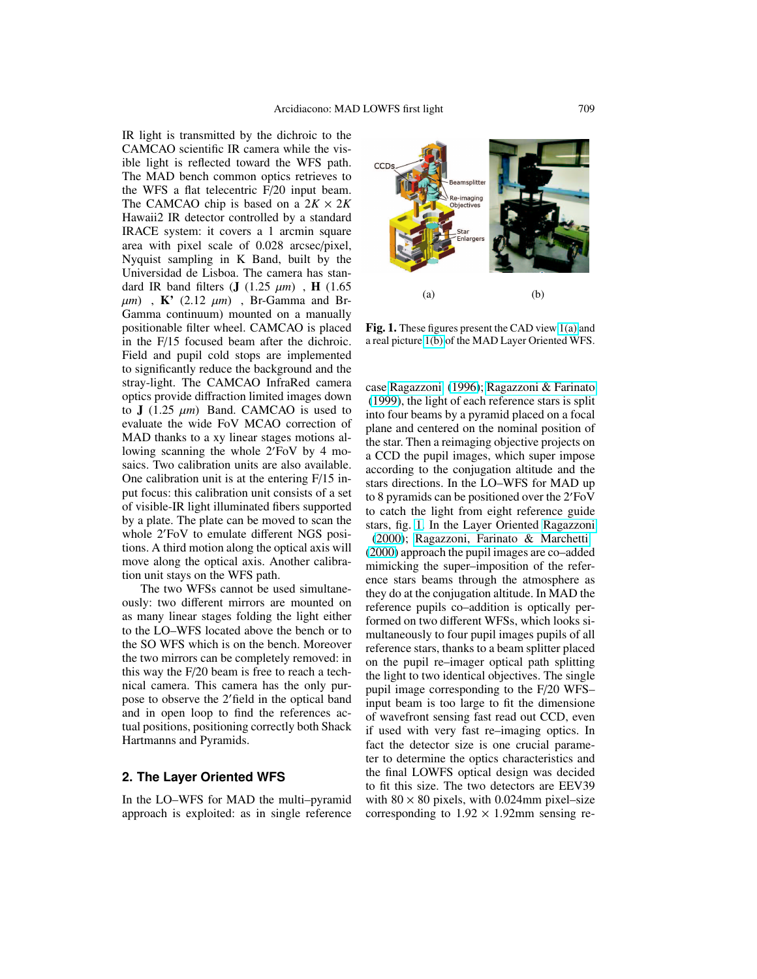IR light is transmitted by the dichroic to the CAMCAO scientific IR camera while the visible light is reflected toward the WFS path. The MAD bench common optics retrieves to the WFS a flat telecentric F/20 input beam. The CAMCAO chip is based on a  $2K \times 2K$ Hawaii2 IR detector controlled by a standard IRACE system: it covers a 1 arcmin square area with pixel scale of 0.028 arcsec/pixel, Nyquist sampling in K Band, built by the Universidad de Lisboa. The camera has standard IR band filters  $(J (1.25 \mu m)$ , H  $(1.65 \mu m)$  $\mu$ *m*), **K'** (2.12  $\mu$ *m*), Br-Gamma and Br-Gamma continuum) mounted on a manually positionable filter wheel. CAMCAO is placed in the F/15 focused beam after the dichroic. Field and pupil cold stops are implemented to significantly reduce the background and the stray-light. The CAMCAO InfraRed camera optics provide diffraction limited images down to  $J(1.25 \mu m)$  Band. CAMCAO is used to evaluate the wide FoV MCAO correction of MAD thanks to a xy linear stages motions allowing scanning the whole  $2'$ FoV by 4 mosaics. Two calibration units are also available. One calibration unit is at the entering F/15 input focus: this calibration unit consists of a set of visible-IR light illuminated fibers supported by a plate. The plate can be moved to scan the whole 2'FoV to emulate different NGS positions. A third motion along the optical axis will move along the optical axis. Another calibration unit stays on the WFS path.

The two WFSs cannot be used simultaneously: two different mirrors are mounted on as many linear stages folding the light either to the LO–WFS located above the bench or to the SO WFS which is on the bench. Moreover the two mirrors can be completely removed: in this way the F/20 beam is free to reach a technical camera. This camera has the only purpose to observe the 2'field in the optical band and in open loop to find the references actual positions, positioning correctly both Shack Hartmanns and Pyramids.

## **2. The Layer Oriented WFS**

In the LO–WFS for MAD the multi–pyramid approach is exploited: as in single reference



Fig. 1. These figures present the CAD view 1(a) and a real picture 1(b) of the MAD Layer Oriented WFS.

case [Ragazzoni](#page-3-0) [\(1996\)](#page-3-0); [Ragazzoni & Farinato](#page-3-0) [\(1999\)](#page-3-0), the light of each reference stars is split into four beams by a pyramid placed on a focal plane and centered on the nominal position of the star. Then a reimaging objective projects on a CCD the pupil images, which super impose according to the conjugation altitude and the stars directions. In the LO–WFS for MAD up to 8 pyramids can be positioned over the  $2'$ FoV to catch the light from eight reference guide stars, fig. 1. In the Layer Oriented [Ragazzoni](#page-3-0) [\(2000\)](#page-3-0); [Ragazzoni, Farinato & Marchetti](#page-3-0) [\(2000\)](#page-3-0) approach the pupil images are co–added mimicking the super–imposition of the reference stars beams through the atmosphere as they do at the conjugation altitude. In MAD the reference pupils co–addition is optically performed on two different WFSs, which looks simultaneously to four pupil images pupils of all reference stars, thanks to a beam splitter placed on the pupil re–imager optical path splitting the light to two identical objectives. The single pupil image corresponding to the F/20 WFS– input beam is too large to fit the dimensione of wavefront sensing fast read out CCD, even if used with very fast re–imaging optics. In fact the detector size is one crucial parameter to determine the optics characteristics and the final LOWFS optical design was decided to fit this size. The two detectors are EEV39 with  $80 \times 80$  pixels, with 0.024mm pixel–size corresponding to  $1.92 \times 1.92$ mm sensing re-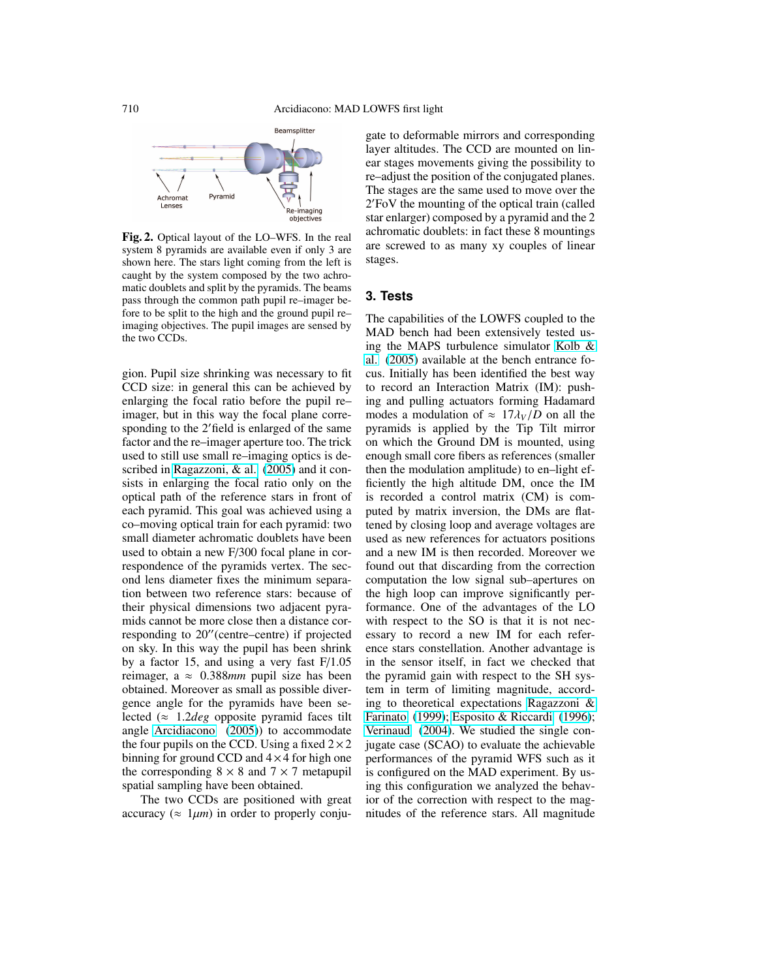

Fig. 2. Optical layout of the LO–WFS. In the real system 8 pyramids are available even if only 3 are shown here. The stars light coming from the left is caught by the system composed by the two achromatic doublets and split by the pyramids. The beams pass through the common path pupil re–imager before to be split to the high and the ground pupil re– imaging objectives. The pupil images are sensed by the two CCDs.

gion. Pupil size shrinking was necessary to fit CCD size: in general this can be achieved by enlarging the focal ratio before the pupil re– imager, but in this way the focal plane corresponding to the 2'field is enlarged of the same factor and the re–imager aperture too. The trick used to still use small re–imaging optics is described in [Ragazzoni, & al.](#page-3-0) [\(2005\)](#page-3-0) and it consists in enlarging the focal ratio only on the optical path of the reference stars in front of each pyramid. This goal was achieved using a co–moving optical train for each pyramid: two small diameter achromatic doublets have been used to obtain a new F/300 focal plane in correspondence of the pyramids vertex. The second lens diameter fixes the minimum separation between two reference stars: because of their physical dimensions two adjacent pyramids cannot be more close then a distance corresponding to  $20''$  (centre–centre) if projected on sky. In this way the pupil has been shrink by a factor 15, and using a very fast F/1.05 reimager, a ≈ 0.388*mm* pupil size has been obtained. Moreover as small as possible divergence angle for the pyramids have been selected (≈ 1.2*deg* opposite pyramid faces tilt angle [Arcidiacono](#page-3-0) [\(2005\)](#page-3-0)) to accommodate the four pupils on the CCD. Using a fixed  $2 \times 2$ binning for ground CCD and  $4 \times 4$  for high one the corresponding  $8 \times 8$  and  $7 \times 7$  metapupil spatial sampling have been obtained.

The two CCDs are positioned with great accuracy ( $\approx 1 \mu m$ ) in order to properly conjugate to deformable mirrors and corresponding layer altitudes. The CCD are mounted on linear stages movements giving the possibility to re–adjust the position of the conjugated planes. The stages are the same used to move over the 2 <sup>0</sup>FoV the mounting of the optical train (called star enlarger) composed by a pyramid and the 2 achromatic doublets: in fact these 8 mountings are screwed to as many xy couples of linear stages.

#### **3. Tests**

The capabilities of the LOWFS coupled to the MAD bench had been extensively tested using the MAPS turbulence simulator [Kolb &](#page-3-0) [al.](#page-3-0) [\(2005\)](#page-3-0) available at the bench entrance focus. Initially has been identified the best way to record an Interaction Matrix (IM): pushing and pulling actuators forming Hadamard modes a modulation of  $\approx 17\lambda_V/D$  on all the pyramids is applied by the Tip Tilt mirror on which the Ground DM is mounted, using enough small core fibers as references (smaller then the modulation amplitude) to en–light efficiently the high altitude DM, once the IM is recorded a control matrix (CM) is computed by matrix inversion, the DMs are flattened by closing loop and average voltages are used as new references for actuators positions and a new IM is then recorded. Moreover we found out that discarding from the correction computation the low signal sub–apertures on the high loop can improve significantly performance. One of the advantages of the LO with respect to the SO is that it is not necessary to record a new IM for each reference stars constellation. Another advantage is in the sensor itself, in fact we checked that the pyramid gain with respect to the SH system in term of limiting magnitude, according to theoretical expectations [Ragazzoni &](#page-3-0) [Farinato](#page-3-0) [\(1999\)](#page-3-0); [Esposito & Riccardi](#page-3-0) [\(1996\)](#page-3-0); [Verinaud](#page-3-0) [\(2004\)](#page-3-0). We studied the single conjugate case (SCAO) to evaluate the achievable performances of the pyramid WFS such as it is configured on the MAD experiment. By using this configuration we analyzed the behavior of the correction with respect to the magnitudes of the reference stars. All magnitude